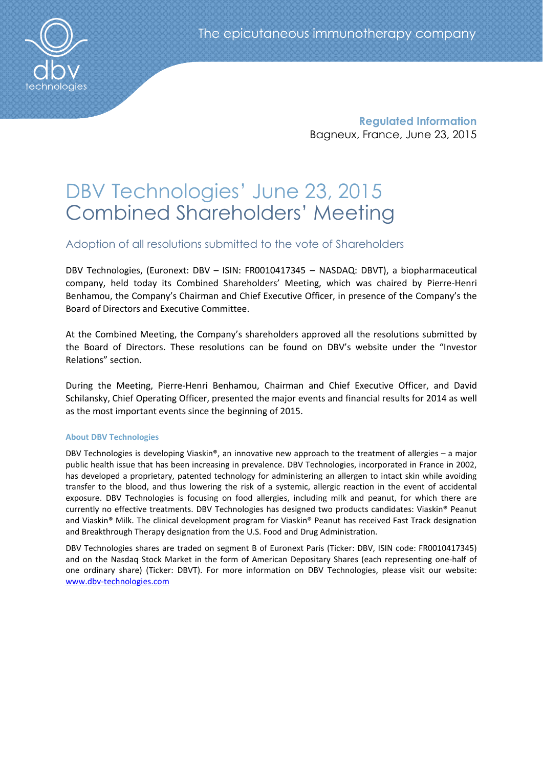

Regulated Information Bagneux, France, June 23, 2015

# DBV Technologies' June 23, 2015 Combined Shareholders' Meeting

Adoption of all resolutions submitted to the vote of Shareholders

DBV Technologies, (Euronext: DBV – ISIN: FR0010417345 – NASDAQ: DBVT), a biopharmaceutical company, held today its Combined Shareholders' Meeting, which was chaired by Pierre-Henri Benhamou, the Company's Chairman and Chief Executive Officer, in presence of the Company's the Board of Directors and Executive Committee.

At the Combined Meeting, the Company's shareholders approved all the resolutions submitted by the Board of Directors. These resolutions can be found on DBV's website under the "Investor Relations" section.

During the Meeting, Pierre-Henri Benhamou, Chairman and Chief Executive Officer, and David Schilansky, Chief Operating Officer, presented the major events and financial results for 2014 as well as the most important events since the beginning of 2015.

## About DBV Technologies

DBV Technologies is developing Viaskin®, an innovative new approach to the treatment of allergies – a major public health issue that has been increasing in prevalence. DBV Technologies, incorporated in France in 2002, has developed a proprietary, patented technology for administering an allergen to intact skin while avoiding transfer to the blood, and thus lowering the risk of a systemic, allergic reaction in the event of accidental exposure. DBV Technologies is focusing on food allergies, including milk and peanut, for which there are currently no effective treatments. DBV Technologies has designed two products candidates: Viaskin® Peanut and Viaskin® Milk. The clinical development program for Viaskin® Peanut has received Fast Track designation and Breakthrough Therapy designation from the U.S. Food and Drug Administration.

DBV Technologies shares are traded on segment B of Euronext Paris (Ticker: DBV, ISIN code: FR0010417345) and on the Nasdaq Stock Market in the form of American Depositary Shares (each representing one-half of one ordinary share) (Ticker: DBVT). For more information on DBV Technologies, please visit our website: www.dbv-technologies.com